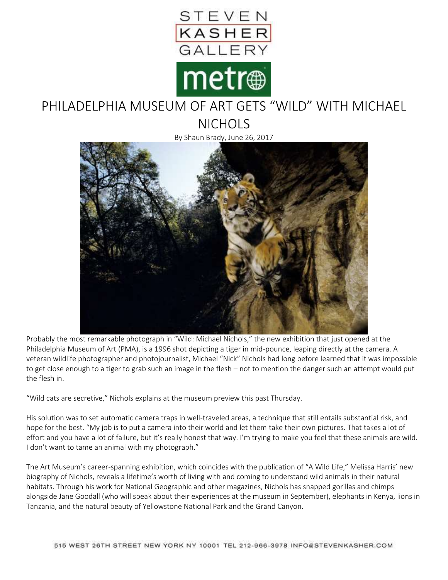

## PHILADELPHIA MUSEUM OF ART GETS "WILD" WITH MICHAEL

**NICHOLS** 

By Shaun Brady, June 26, 2017



Probably the most remarkable photograph in "Wild: Michael Nichols," the new exhibition that just opened at the Philadelphia Museum of Art (PMA), is a 1996 shot depicting a tiger in mid-pounce, leaping directly at the camera. A veteran wildlife photographer and photojournalist, Michael "Nick" Nichols had long before learned that it was impossible to get close enough to a tiger to grab such an image in the flesh – not to mention the danger such an attempt would put the flesh in.

"Wild cats are secretive," Nichols explains at the museum preview this past Thursday.

His solution was to set automatic camera traps in well-traveled areas, a technique that still entails substantial risk, and hope for the best. "My job is to put a camera into their world and let them take their own pictures. That takes a lot of effort and you have a lot of failure, but it's really honest that way. I'm trying to make you feel that these animals are wild. I don't want to tame an animal with my photograph."

The Art Museum's career-spanning exhibition, which coincides with the publication of "A Wild Life," Melissa Harris' new biography of Nichols, reveals a lifetime's worth of living with and coming to understand wild animals in their natural habitats. Through his work for National Geographic and other magazines, Nichols has snapped gorillas and chimps alongside Jane Goodall (who will speak about their experiences at the museum in September), elephants in Kenya, lions in Tanzania, and the natural beauty of Yellowstone National Park and the Grand Canyon.